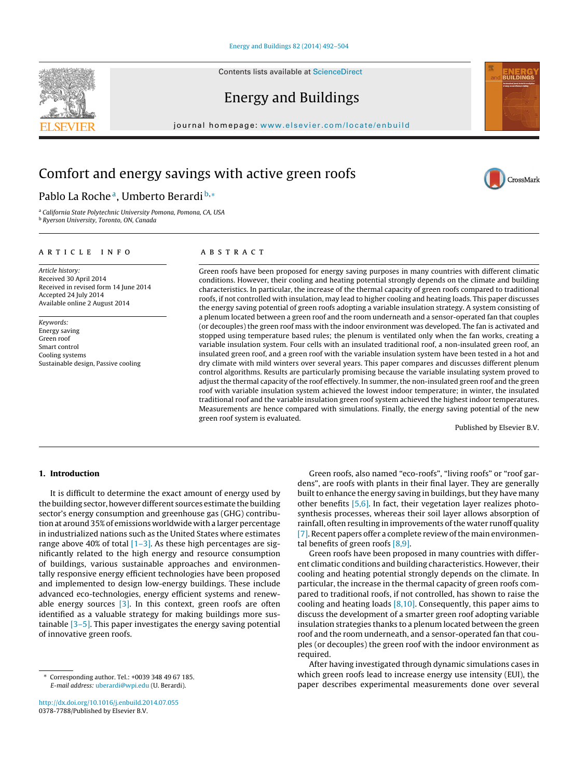Contents lists available at [ScienceDirect](http://www.sciencedirect.com/science/journal/03787788)





CrossMark

## Energy and Buildings

iournal homepage: [www.elsevier.com/locate/enbuild](http://www.elsevier.com/locate/enbuild)

## Comfort and energy savings with active green roofs

### Pablo La Roche<sup>a</sup>, Umberto Berardi<sup>b,</sup>\*

<sup>a</sup> California State Polytechnic University Pomona, Pomona, CA, USA **b Ryerson University, Toronto, ON, Canada** 

#### a r t i c l e i n f o

Article history: Received 30 April 2014 Received in revised form 14 June 2014 Accepted 24 July 2014 Available online 2 August 2014

Keywords: Energy saving Green roof Smart control Cooling systems Sustainable design, Passive cooling

#### A B S T R A C T

Green roofs have been proposed for energy saving purposes in many countries with different climatic conditions. However, their cooling and heating potential strongly depends on the climate and building characteristics. In particular, the increase of the thermal capacity of green roofs compared to traditional roofs, if not controlled with insulation, may lead to higher cooling and heating loads. This paper discusses the energy saving potential of green roofs adopting a variable insulation strategy. A system consisting of a plenum located between a green roof and the room underneath and a sensor-operated fan that couples (or decouples) the green roof mass with the indoor environment was developed. The fan is activated and stopped using temperature based rules; the plenum is ventilated only when the fan works, creating a variable insulation system. Four cells with an insulated traditional roof, a non-insulated green roof, an insulated green roof, and a green roof with the variable insulation system have been tested in a hot and dry climate with mild winters over several years. This paper compares and discusses different plenum control algorithms. Results are particularly promising because the variable insulating system proved to adjust the thermal capacity of the roof effectively. In summer, the non-insulated green roof and the green roof with variable insulation system achieved the lowest indoor temperature; in winter, the insulated traditional roof and the variable insulation green roof system achieved the highest indoor temperatures. Measurements are hence compared with simulations. Finally, the energy saving potential of the new green roof system is evaluated.

Published by Elsevier B.V.

#### **1. Introduction**

It is difficult to determine the exact amount of energy used by the building sector, however different sources estimate the building sector's energy consumption and greenhouse gas (GHG) contribution at around 35% of emissions worldwide with a larger percentage in industrialized nations such as the United States where estimates range above 40% of total  $[1-3]$ . As these high percentages are significantly related to the high energy and resource consumption of buildings, various sustainable approaches and environmentally responsive energy efficient technologies have been proposed and implemented to design low-energy buildings. These include advanced eco-technologies, energy efficient systems and renewable energy sources  $[3]$ . In this context, green roofs are often identified as a valuable strategy for making buildings more sustainable [\[3–5\].](#page--1-0) This paper investigates the energy saving potential of innovative green roofs.

[http://dx.doi.org/10.1016/j.enbuild.2014.07.055](dx.doi.org/10.1016/j.enbuild.2014.07.055) 0378-7788/Published by Elsevier B.V.

Green roofs, also named "eco-roofs", "living roofs" or "roof gardens", are roofs with plants in their final layer. They are generally built to enhance the energy saving in buildings, but they have many other benefits [\[5,6\].](#page--1-0) In fact, their vegetation layer realizes photosynthesis processes, whereas their soil layer allows absorption of rainfall, often resulting in improvements of the water runoff quality [\[7\].](#page--1-0) Recent papers offer a complete review of the main environmental benefits of green roofs [\[8,9\].](#page--1-0)

Green roofs have been proposed in many countries with different climatic conditions and building characteristics. However, their cooling and heating potential strongly depends on the climate. In particular, the increase in the thermal capacity of green roofs compared to traditional roofs, if not controlled, has shown to raise the cooling and heating loads  $[8,10]$ . Consequently, this paper aims to discuss the development of a smarter green roof adopting variable insulation strategies thanks to a plenum located between the green roof and the room underneath, and a sensor-operated fan that couples (or decouples) the green roof with the indoor environment as required.

After having investigated through dynamic simulations cases in which green roofs lead to increase energy use intensity (EUI), the paper describes experimental measurements done over several

<sup>∗</sup> Corresponding author. Tel.: +0039 348 49 67 185. E-mail address: [uberardi@wpi.edu](mailto:uberardi@wpi.edu) (U. Berardi).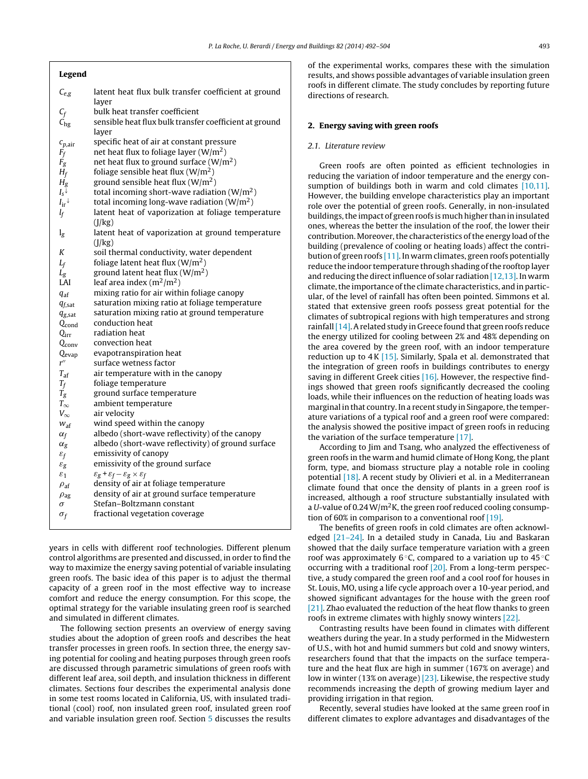| Legend                       |                                                                      |
|------------------------------|----------------------------------------------------------------------|
| $C_{e,g}$                    | latent heat flux bulk transfer coefficient at ground<br>layer        |
| $C_f$                        | bulk heat transfer coefficient                                       |
| $\dot{C}_{hg}$               | sensible heat flux bulk transfer coefficient at ground               |
|                              | layer                                                                |
| $c_{p,air}$                  | specific heat of air at constant pressure                            |
| $F_f$                        | net heat flux to foliage layer $(W/m^2)$                             |
| $F_{g}$                      | net heat flux to ground surface $(W/m^2)$                            |
| $H_f$                        | foliage sensible heat flux $(W/m^2)$                                 |
| H <sub>g</sub>               | ground sensible heat flux $(W/m^2)$                                  |
| $I_{\rm S}^{\downarrow}$     | total incoming short-wave radiation $(W/m^2)$                        |
| $I_{ir}$                     | total incoming long-wave radiation $(W/m^2)$                         |
| $l_f$                        | latent heat of vaporization at foliage temperature<br>( k            |
| $\lg$                        | latent heat of vaporization at ground temperature<br>( k             |
| Κ                            | soil thermal conductivity, water dependent                           |
| $L_f$                        | foliage latent heat flux $(W/m^2)$                                   |
| $L_g$                        | ground latent heat flux $(W/m^2)$                                    |
| LAI                          | leaf area index $(m^2/m^2)$                                          |
| $q_{\text{af}}$              | mixing ratio for air within foliage canopy                           |
| $q_{f,\mathrm{sat}}$         | saturation mixing ratio at foliage temperature                       |
| $q_{\rm g,sat}$              | saturation mixing ratio at ground temperature                        |
| $Q_{\text{cond}}$            | conduction heat                                                      |
| $Q_{irr}$                    | radiation heat                                                       |
| Qconv                        | convection heat                                                      |
| <b>Q</b> evap                | evapotranspiration heat                                              |
| r''                          | surface wetness factor                                               |
| $T_{\text{af}}$              | air temperature with in the canopy                                   |
| $T_f$                        | foliage temperature                                                  |
| $T_{\rm g}$                  | ground surface temperature<br>ambient temperature                    |
| $T_{\infty}$<br>$V_{\infty}$ | air velocity                                                         |
| $W_{\text{af}}$              | wind speed within the canopy                                         |
| $\alpha_f$                   | albedo (short-wave reflectivity) of the canopy                       |
| $\alpha_{\rm g}$             | albedo (short-wave reflectivity) of ground surface                   |
| $\varepsilon_f$              | emissivity of canopy                                                 |
| $\varepsilon_{\rm g}$        | emissivity of the ground surface                                     |
| $\varepsilon_1$              | $\varepsilon_g + \varepsilon_f - \varepsilon_g \times \varepsilon_f$ |
| $\rho_{\text{af}}$           | density of air at foliage temperature                                |
| $\rho_{\texttt{ag}}$         | density of air at ground surface temperature                         |
| σ                            | Stefan-Boltzmann constant                                            |
| $\sigma_f$                   | fractional vegetation coverage                                       |
|                              |                                                                      |

years in cells with different roof technologies. Different plenum control algorithms are presented and discussed, in order to find the way to maximize the energy saving potential of variable insulating green roofs. The basic idea of this paper is to adjust the thermal capacity of a green roof in the most effective way to increase comfort and reduce the energy consumption. For this scope, the optimal strategy for the variable insulating green roof is searched and simulated in different climates.

The following section presents an overview of energy saving studies about the adoption of green roofs and describes the heat transfer processes in green roofs. In section three, the energy saving potential for cooling and heating purposes through green roofs are discussed through parametric simulations of green roofs with different leaf area, soil depth, and insulation thickness in different climates. Sections four describes the experimental analysis done in some test rooms located in California, US, with insulated traditional (cool) roof, non insulated green roof, insulated green roof and variable insulation green roof. Section [5](#page--1-0) discusses the results of the experimental works, compares these with the simulation results, and shows possible advantages of variable insulation green roofs in different climate. The study concludes by reporting future directions of research.

#### **2. Energy saving with green roofs**

#### 2.1. Literature review

Green roofs are often pointed as efficient technologies in reducing the variation of indoor temperature and the energy con-sumption of buildings both in warm and cold climates [\[10,11\].](#page--1-0) However, the building envelope characteristics play an important role over the potential of green roofs. Generally, in non-insulated buildings, the impact of green roofs is much higher than in insulated ones, whereas the better the insulation of the roof, the lower their contribution. Moreover, the characteristics of the energy load of the building (prevalence of cooling or heating loads) affect the contribution of green roofs [\[11\].](#page--1-0) In warm climates, green roofs potentially reduce the indoor temperature through shading of the rooftop layer and reducing the direct influence of solar radiation  $[12,13]$ . In warm climate, the importance of the climate characteristics, and in particular, of the level of rainfall has often been pointed. Simmons et al. stated that extensive green roofs possess great potential for the climates of subtropical regions with high temperatures and strong rainfall  $[14]$ . A related study in Greece found that green roofs reduce the energy utilized for cooling between 2% and 48% depending on the area covered by the green roof, with an indoor temperature reduction up to 4K [\[15\].](#page--1-0) Similarly, Spala et al. demonstrated that the integration of green roofs in buildings contributes to energy saving in different Greek cities [\[16\].](#page--1-0) However, the respective findings showed that green roofs significantly decreased the cooling loads, while their influences on the reduction of heating loads was marginal in that country. In a recent study in Singapore,the temperature variations of a typical roof and a green roof were compared: the analysis showed the positive impact of green roofs in reducing the variation of the surface temperature [\[17\].](#page--1-0)

According to Jim and Tsang, who analyzed the effectiveness of green roofs in the warm and humid climate of Hong Kong, the plant form, type, and biomass structure play a notable role in cooling potential [\[18\].](#page--1-0) A recent study by Olivieri et al. in a Mediterranean climate found that once the density of plants in a green roof is increased, although a roof structure substantially insulated with a U-value of 0.24 W/m<sup>2</sup>K, the green roof reduced cooling consumption of 60% in comparison to a conventional roof [\[19\].](#page--1-0)

The benefits of green roofs in cold climates are often acknowledged [\[21–24\].](#page--1-0) In a detailed study in Canada, Liu and Baskaran showed that the daily surface temperature variation with a green roof was approximately 6 ◦C, compared to a variation up to 45 ◦C occurring with a traditional roof [\[20\].](#page--1-0) From a long-term perspective, a study compared the green roof and a cool roof for houses in St. Louis, MO, using a life cycle approach over a 10-year period, and showed significant advantages for the house with the green roof [\[21\].](#page--1-0) Zhao evaluated the reduction of the heat flow thanks to green roofs in extreme climates with highly snowy winters [\[22\].](#page--1-0)

Contrasting results have been found in climates with different weathers during the year. In a study performed in the Midwestern of U.S., with hot and humid summers but cold and snowy winters, researchers found that that the impacts on the surface temperature and the heat flux are high in summer (167% on average) and low in winter (13% on average) [\[23\].](#page--1-0) Likewise, the respective study recommends increasing the depth of growing medium layer and providing irrigation in that region.

Recently, several studies have looked at the same green roof in different climates to explore advantages and disadvantages of the